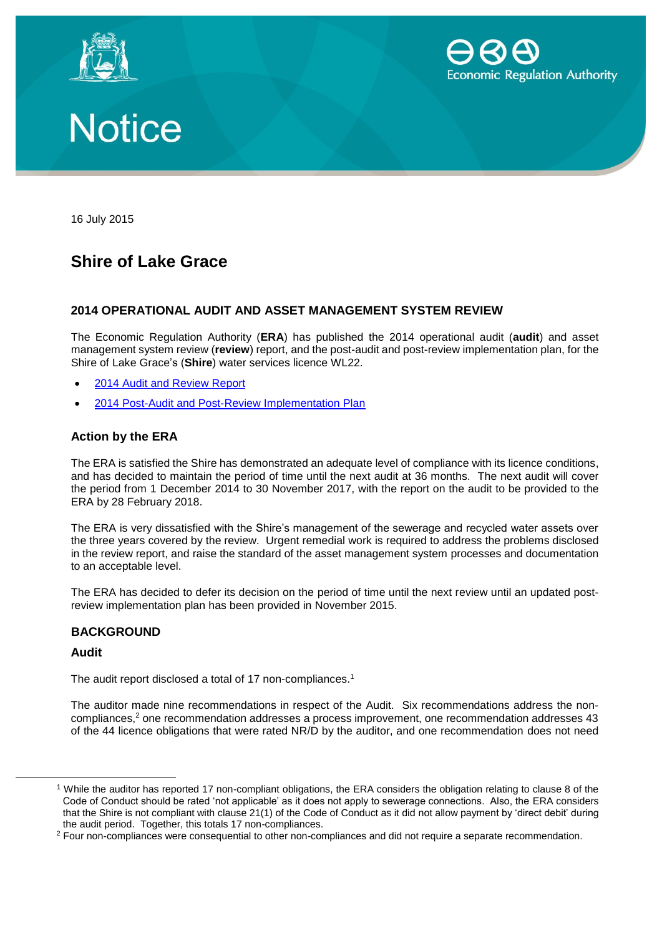





16 July 2015

# **Shire of Lake Grace**

# **2014 OPERATIONAL AUDIT AND ASSET MANAGEMENT SYSTEM REVIEW**

The Economic Regulation Authority (**ERA**) has published the 2014 operational audit (**audit**) and asset management system review (**review**) report, and the post-audit and post-review implementation plan, for the Shire of Lake Grace's (**Shire**) water services licence WL22.

- [2014 Audit and Review Report](http://www.erawa.com.au/cproot/13755/2/Shire%20of%20Lake%20Grace%20-%202014%20Operational%20Audit%20and%20Asset%20Management%20Review%20Report.pdf)
- [2014 Post-Audit and Post-Review Implementation Plan](http://www.erawa.com.au/cproot/13756/2/Shire%20of%20Lake%20Grace%20-%20%20Post-Audit%20and%20Post-Review%20Implementation%20Plan.PDF)

# **Action by the ERA**

The ERA is satisfied the Shire has demonstrated an adequate level of compliance with its licence conditions, and has decided to maintain the period of time until the next audit at 36 months. The next audit will cover the period from 1 December 2014 to 30 November 2017, with the report on the audit to be provided to the ERA by 28 February 2018.

The ERA is very dissatisfied with the Shire's management of the sewerage and recycled water assets over the three years covered by the review. Urgent remedial work is required to address the problems disclosed in the review report, and raise the standard of the asset management system processes and documentation to an acceptable level.

The ERA has decided to defer its decision on the period of time until the next review until an updated postreview implementation plan has been provided in November 2015.

### **BACKGROUND**

## **Audit**

 $\overline{a}$ 

The audit report disclosed a total of 17 non-compliances.<sup>1</sup>

The auditor made nine recommendations in respect of the Audit. Six recommendations address the noncompliances,<sup>2</sup> one recommendation addresses a process improvement, one recommendation addresses 43 of the 44 licence obligations that were rated NR/D by the auditor, and one recommendation does not need

<sup>1</sup> While the auditor has reported 17 non-compliant obligations, the ERA considers the obligation relating to clause 8 of the Code of Conduct should be rated 'not applicable' as it does not apply to sewerage connections. Also, the ERA considers that the Shire is not compliant with clause 21(1) of the Code of Conduct as it did not allow payment by 'direct debit' during the audit period. Together, this totals 17 non-compliances.

<sup>&</sup>lt;sup>2</sup> Four non-compliances were consequential to other non-compliances and did not require a separate recommendation.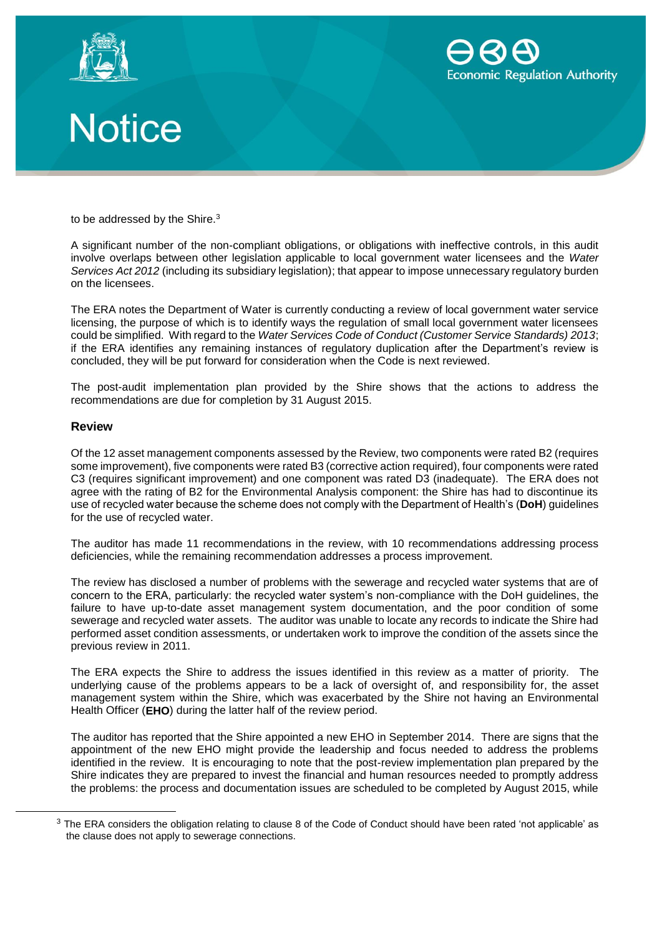





to be addressed by the Shire.<sup>3</sup>

A significant number of the non-compliant obligations, or obligations with ineffective controls, in this audit involve overlaps between other legislation applicable to local government water licensees and the *Water Services Act 2012* (including its subsidiary legislation); that appear to impose unnecessary regulatory burden on the licensees.

The ERA notes the Department of Water is currently conducting a review of local government water service licensing, the purpose of which is to identify ways the regulation of small local government water licensees could be simplified. With regard to the *Water Services Code of Conduct (Customer Service Standards) 2013*; if the ERA identifies any remaining instances of regulatory duplication after the Department's review is concluded, they will be put forward for consideration when the Code is next reviewed.

The post-audit implementation plan provided by the Shire shows that the actions to address the recommendations are due for completion by 31 August 2015.

#### **Review**

 $\overline{a}$ 

Of the 12 asset management components assessed by the Review, two components were rated B2 (requires some improvement), five components were rated B3 (corrective action required), four components were rated C3 (requires significant improvement) and one component was rated D3 (inadequate). The ERA does not agree with the rating of B2 for the Environmental Analysis component: the Shire has had to discontinue its use of recycled water because the scheme does not comply with the Department of Health's (**DoH**) guidelines for the use of recycled water.

The auditor has made 11 recommendations in the review, with 10 recommendations addressing process deficiencies, while the remaining recommendation addresses a process improvement.

The review has disclosed a number of problems with the sewerage and recycled water systems that are of concern to the ERA, particularly: the recycled water system's non-compliance with the DoH guidelines, the failure to have up-to-date asset management system documentation, and the poor condition of some sewerage and recycled water assets. The auditor was unable to locate any records to indicate the Shire had performed asset condition assessments, or undertaken work to improve the condition of the assets since the previous review in 2011.

The ERA expects the Shire to address the issues identified in this review as a matter of priority. The underlying cause of the problems appears to be a lack of oversight of, and responsibility for, the asset management system within the Shire, which was exacerbated by the Shire not having an Environmental Health Officer (**EHO**) during the latter half of the review period.

The auditor has reported that the Shire appointed a new EHO in September 2014. There are signs that the appointment of the new EHO might provide the leadership and focus needed to address the problems identified in the review. It is encouraging to note that the post-review implementation plan prepared by the Shire indicates they are prepared to invest the financial and human resources needed to promptly address the problems: the process and documentation issues are scheduled to be completed by August 2015, while

 $3$  The ERA considers the obligation relating to clause 8 of the Code of Conduct should have been rated 'not applicable' as the clause does not apply to sewerage connections.